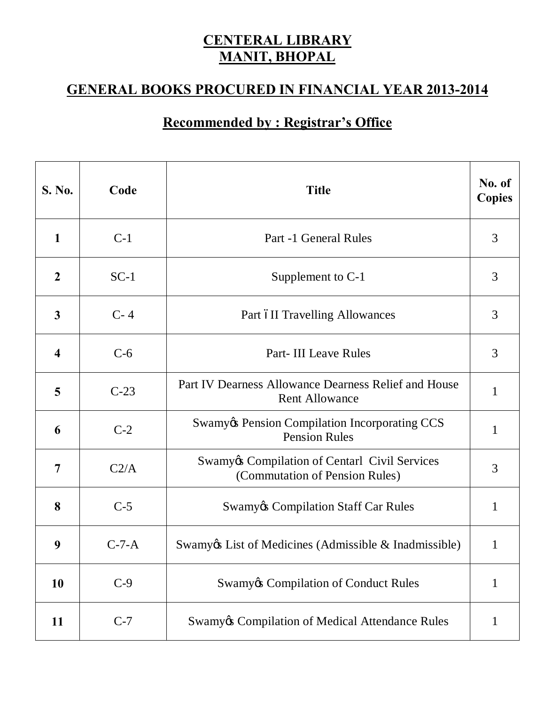## **CENTERAL LIBRARY MANIT, BHOPAL**

## **GENERAL BOOKS PROCURED IN FINANCIAL YEAR 2013-2014**

## **Recommended by : Registrar's Office**

| <b>S. No.</b>           | Code    | <b>Title</b>                                                                               | No. of<br><b>Copies</b> |
|-------------------------|---------|--------------------------------------------------------------------------------------------|-------------------------|
| $\mathbf{1}$            | $C-1$   | Part -1 General Rules                                                                      | 3                       |
| $\boldsymbol{2}$        | $SC-1$  | Supplement to C-1                                                                          | 3                       |
| $\overline{\mathbf{3}}$ | $C-4$   | Part oII Travelling Allowances                                                             | 3                       |
| $\overline{\mathbf{4}}$ | $C-6$   | <b>Part-III Leave Rules</b>                                                                | 3                       |
| 5                       | $C-23$  | Part IV Dearness Allowance Dearness Relief and House<br><b>Rent Allowance</b>              | 1                       |
| 6                       | $C-2$   | <b>Swamy &amp; Pension Compilation Incorporating CCS</b><br><b>Pension Rules</b>           | 1                       |
| 7                       | C2/A    | <b>Swamy &amp; Compilation of Centarl Civil Services</b><br>(Commutation of Pension Rules) | 3                       |
| 8                       | $C-5$   | <b>Swamy&amp; Compilation Staff Car Rules</b>                                              | 1                       |
| 9                       | $C-7-A$ | Swamy & List of Medicines (Admissible & Inadmissible)                                      | 1                       |
| 10                      | $C-9$   | <b>Swamy</b> & Compilation of Conduct Rules                                                | 1                       |
| 11                      | $C-7$   | <b>Swamy&amp; Compilation of Medical Attendance Rules</b>                                  | 1                       |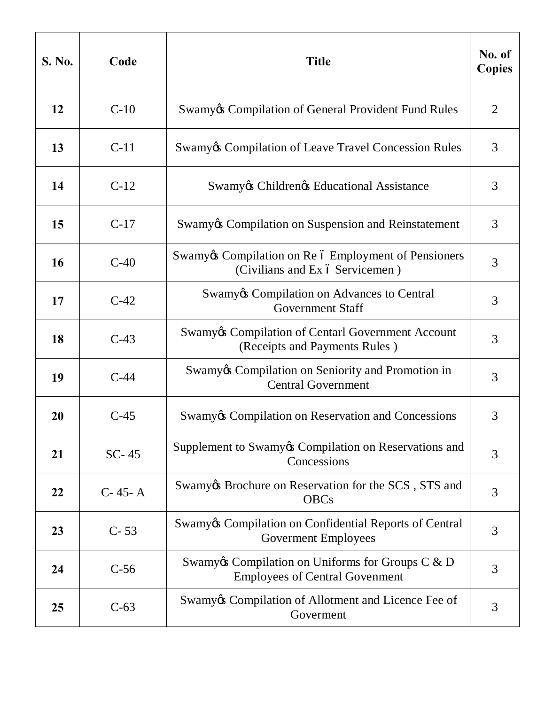| <b>S. No.</b> | Code      | <b>Title</b>                                                                                  | No. of<br><b>Copies</b> |
|---------------|-----------|-----------------------------------------------------------------------------------------------|-------------------------|
| 12            | $C-10$    | Swamy & Compilation of General Provident Fund Rules                                           | $\overline{2}$          |
| 13            | $C-11$    | <b>Swamy Compilation of Leave Travel Concession Rules</b>                                     | 3                       |
| 14            | $C-12$    | Swamy & Children & Educational Assistance                                                     | 3                       |
| 15            | $C-17$    | Swamy & Compilation on Suspension and Reinstatement                                           | 3                       |
| 16            | $C-40$    | Swamy & Compilation on Re ó Employment of Pensioners<br>(Civilians and Ex ó Servicemen)       | 3                       |
| 17            | $C-42$    | Swamy & Compilation on Advances to Central<br><b>Government Staff</b>                         | 3                       |
| 18            | $C-43$    | <b>Swamy &amp; Compilation of Centarl Government Account</b><br>(Receipts and Payments Rules) | 3                       |
| 19            | $C-44$    | Swamy & Compilation on Seniority and Promotion in<br><b>Central Government</b>                | 3                       |
| 20            | $C-45$    | Swamy & Compilation on Reservation and Concessions                                            | 3                       |
| 21            | $SC-45$   | Supplement to Swamy & Compilation on Reservations and<br>Concessions                          | 3                       |
| 22            | $C-45- A$ | Swamy & Brochure on Reservation for the SCS, STS and<br><b>OBCs</b>                           | 3                       |
| 23            | $C - 53$  | Swamy & Compilation on Confidential Reports of Central<br><b>Goverment Employees</b>          | 3                       |
| 24            | $C-56$    | Swamy & Compilation on Uniforms for Groups $C & D$<br><b>Employees of Central Govenment</b>   | 3                       |
| 25            | $C-63$    | Swamy & Compilation of Allotment and Licence Fee of<br>Goverment                              | 3                       |